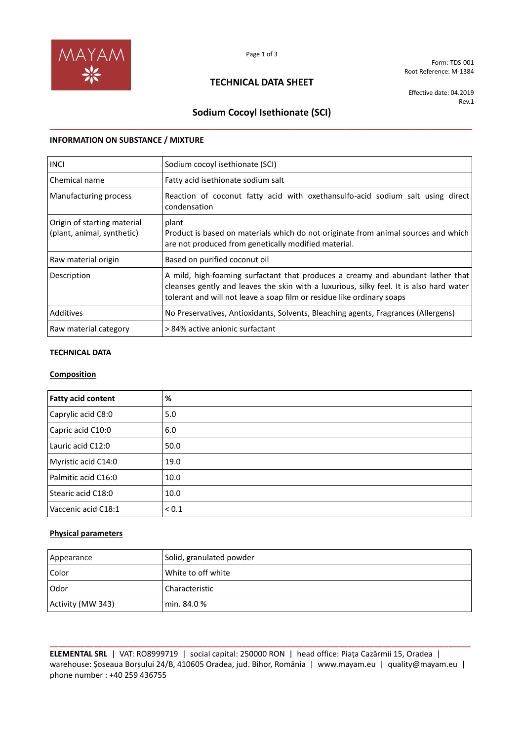

Form: TDS-001 Root Reference: M-1384

# **TECHNICAL DATA SHEET**

Effective date: 04.2019 Rev.1

# **Sodium Cocoyl Isethionate (SCI) \_\_\_\_\_\_\_\_\_\_\_\_\_\_\_\_\_\_\_\_\_\_\_\_\_\_\_\_\_\_\_\_\_\_\_\_\_\_\_\_\_\_\_\_\_\_\_\_\_\_\_\_\_\_\_\_\_\_\_\_\_\_\_\_\_\_\_\_\_\_\_\_\_\_\_\_\_\_\_\_**

## **INFORMATION ON SUBSTANCE / MIXTURE**

| <b>INCI</b>                                               | Sodium cocoyl isethionate (SCI)                                                                                                                                                                                                                      |
|-----------------------------------------------------------|------------------------------------------------------------------------------------------------------------------------------------------------------------------------------------------------------------------------------------------------------|
| Chemical name                                             | Fatty acid isethionate sodium salt                                                                                                                                                                                                                   |
| Manufacturing process                                     | Reaction of coconut fatty acid with oxethansulfo-acid sodium salt using direct<br>condensation                                                                                                                                                       |
| Origin of starting material<br>(plant, animal, synthetic) | plant<br>Product is based on materials which do not originate from animal sources and which<br>are not produced from genetically modified material.                                                                                                  |
| Raw material origin                                       | Based on purified coconut oil                                                                                                                                                                                                                        |
| Description                                               | A mild, high-foaming surfactant that produces a creamy and abundant lather that<br>cleanses gently and leaves the skin with a luxurious, silky feel. It is also hard water<br>tolerant and will not leave a soap film or residue like ordinary soaps |
| Additives                                                 | No Preservatives, Antioxidants, Solvents, Bleaching agents, Fragrances (Allergens)                                                                                                                                                                   |
| Raw material category                                     | > 84% active anionic surfactant                                                                                                                                                                                                                      |

# **TECHNICAL DATA**

## **Composition**

| <b>Fatty acid content</b> | %          |
|---------------------------|------------|
| Caprylic acid C8:0        | 5.0        |
| Capric acid C10:0         | 6.0        |
| Lauric acid C12:0         | 50.0       |
| Myristic acid C14:0       | 19.0       |
| Palmitic acid C16:0       | 10.0       |
| Stearic acid C18:0        | 10.0       |
| Vaccenic acid C18:1       | ${}_{0.1}$ |

## **Physical parameters**

| Appearance        | Solid, granulated powder |
|-------------------|--------------------------|
| <b>Color</b>      | White to off white       |
| l Odor            | Characteristic           |
| Activity (MW 343) | min. 84.0 %              |

**\_\_\_\_\_\_\_\_\_\_\_\_\_\_\_\_\_\_\_\_\_\_\_\_\_\_\_\_\_\_\_\_\_\_\_\_\_\_\_\_\_\_\_\_\_\_\_\_\_\_\_\_\_\_\_\_\_\_\_\_\_\_\_\_\_\_\_\_\_\_\_\_\_\_\_\_\_\_\_\_\_\_\_\_\_\_\_\_\_\_\_\_\_\_\_\_ ELEMENTAL SRL** | VAT: RO8999719 | social capital: 250000 RON | head office: Piața Cazărmii 15, Oradea | warehouse: Șoseaua Borșului 24/B, 410605 Oradea, jud. Bihor, România | www.mayam.eu | quality@mayam.eu | phone number : +40 259 436755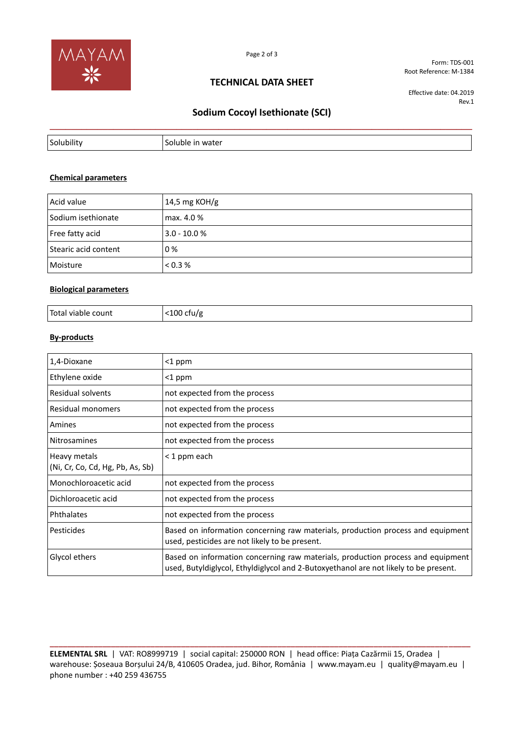

**TECHNICAL DATA SHEET**

Form: TDS-001 Root Reference: M-1384

Effective date: 04.2019 Rev.1

# **Sodium Cocoyl Isethionate (SCI) \_\_\_\_\_\_\_\_\_\_\_\_\_\_\_\_\_\_\_\_\_\_\_\_\_\_\_\_\_\_\_\_\_\_\_\_\_\_\_\_\_\_\_\_\_\_\_\_\_\_\_\_\_\_\_\_\_\_\_\_\_\_\_\_\_\_\_\_\_\_\_\_\_\_\_\_\_\_\_\_**

| Solubility | water<br>Soluble |
|------------|------------------|

#### **Chemical parameters**

| Acid value           | 14,5 mg KOH/g  |
|----------------------|----------------|
| Sodium isethionate   | max. 4.0 %     |
| Free fatty acid      | $3.0 - 10.0 %$ |
| Stearic acid content | 0%             |
| Moisture             | < 0.3 %        |

## **Biological parameters**

| Total viable count | .100<br>ctu/g<br>. |
|--------------------|--------------------|
|--------------------|--------------------|

# **By-products**

| 1,4-Dioxane                                      | <1 ppm                                                                                                                                                                  |
|--------------------------------------------------|-------------------------------------------------------------------------------------------------------------------------------------------------------------------------|
| Ethylene oxide                                   | <1 ppm                                                                                                                                                                  |
| Residual solvents                                | not expected from the process                                                                                                                                           |
| Residual monomers                                | not expected from the process                                                                                                                                           |
| Amines                                           | not expected from the process                                                                                                                                           |
| <b>Nitrosamines</b>                              | not expected from the process                                                                                                                                           |
| Heavy metals<br>(Ni, Cr, Co, Cd, Hg, Pb, As, Sb) | < 1 ppm each                                                                                                                                                            |
| Monochloroacetic acid                            | not expected from the process                                                                                                                                           |
| Dichloroacetic acid                              | not expected from the process                                                                                                                                           |
| Phthalates                                       | not expected from the process                                                                                                                                           |
| Pesticides                                       | Based on information concerning raw materials, production process and equipment<br>used, pesticides are not likely to be present.                                       |
| Glycol ethers                                    | Based on information concerning raw materials, production process and equipment<br>used, Butyldiglycol, Ethyldiglycol and 2-Butoxyethanol are not likely to be present. |

**ELEMENTAL SRL** | VAT: RO8999719 | social capital: 250000 RON | head office: Piața Cazărmii 15, Oradea | warehouse: Șoseaua Borșului 24/B, 410605 Oradea, jud. Bihor, România | www.mayam.eu | quality@mayam.eu | phone number : +40 259 436755

**\_\_\_\_\_\_\_\_\_\_\_\_\_\_\_\_\_\_\_\_\_\_\_\_\_\_\_\_\_\_\_\_\_\_\_\_\_\_\_\_\_\_\_\_\_\_\_\_\_\_\_\_\_\_\_\_\_\_\_\_\_\_\_\_\_\_\_\_\_\_\_\_\_\_\_\_\_\_\_\_\_\_\_\_\_\_\_\_\_\_\_\_\_\_\_\_**